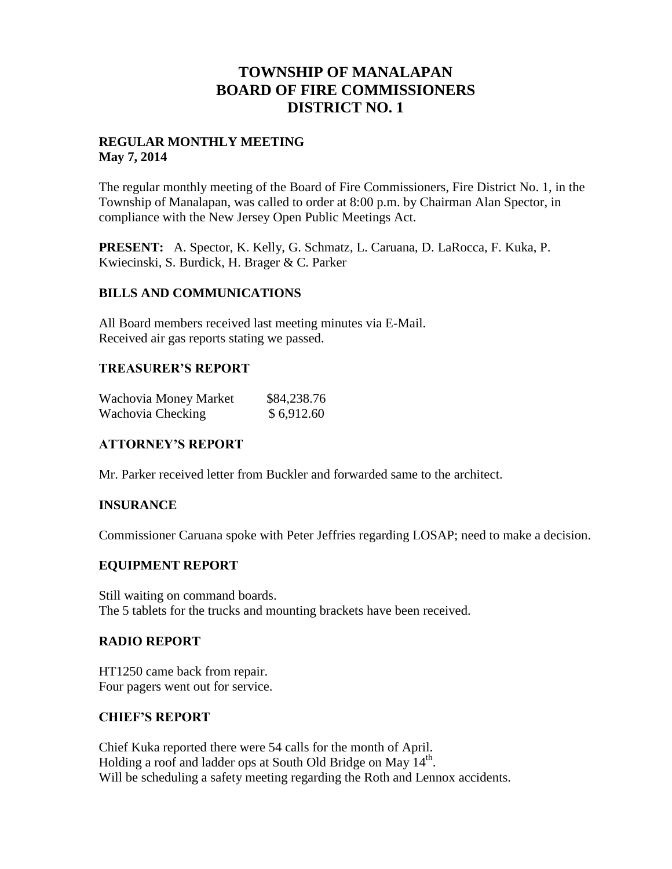# **TOWNSHIP OF MANALAPAN BOARD OF FIRE COMMISSIONERS DISTRICT NO. 1**

# **REGULAR MONTHLY MEETING May 7, 2014**

The regular monthly meeting of the Board of Fire Commissioners, Fire District No. 1, in the Township of Manalapan, was called to order at 8:00 p.m. by Chairman Alan Spector, in compliance with the New Jersey Open Public Meetings Act.

**PRESENT:** A. Spector, K. Kelly, G. Schmatz, L. Caruana, D. LaRocca, F. Kuka, P. Kwiecinski, S. Burdick, H. Brager & C. Parker

## **BILLS AND COMMUNICATIONS**

All Board members received last meeting minutes via E-Mail. Received air gas reports stating we passed.

#### **TREASURER'S REPORT**

| Wachovia Money Market | \$84,238.76 |
|-----------------------|-------------|
| Wachovia Checking     | \$6,912.60  |

## **ATTORNEY'S REPORT**

Mr. Parker received letter from Buckler and forwarded same to the architect.

## **INSURANCE**

Commissioner Caruana spoke with Peter Jeffries regarding LOSAP; need to make a decision.

## **EQUIPMENT REPORT**

Still waiting on command boards. The 5 tablets for the trucks and mounting brackets have been received.

# **RADIO REPORT**

HT1250 came back from repair. Four pagers went out for service.

# **CHIEF'S REPORT**

Chief Kuka reported there were 54 calls for the month of April. Holding a roof and ladder ops at South Old Bridge on May 14<sup>th</sup>. Will be scheduling a safety meeting regarding the Roth and Lennox accidents.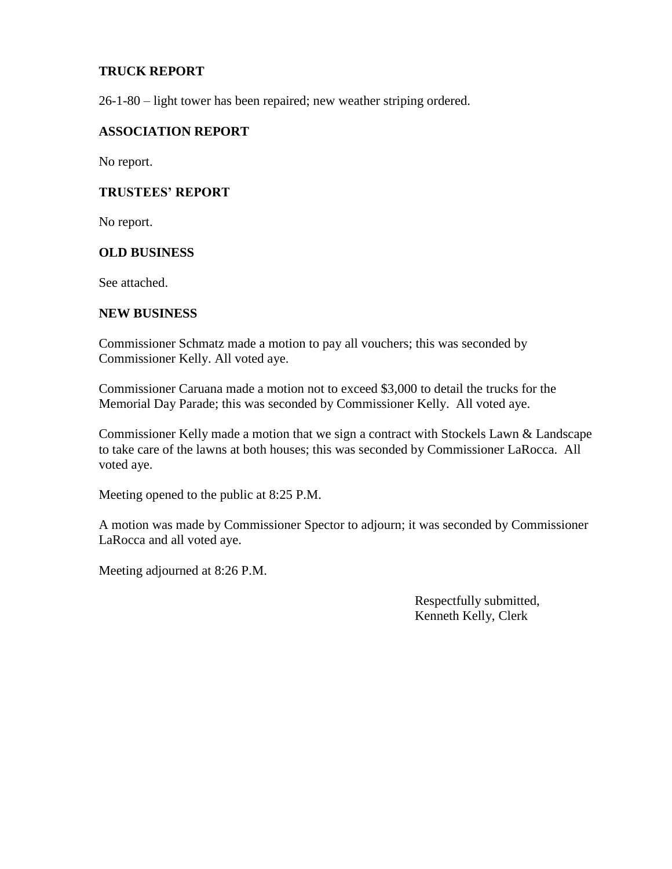# **TRUCK REPORT**

26-1-80 – light tower has been repaired; new weather striping ordered.

### **ASSOCIATION REPORT**

No report.

## **TRUSTEES' REPORT**

No report.

#### **OLD BUSINESS**

See attached.

#### **NEW BUSINESS**

Commissioner Schmatz made a motion to pay all vouchers; this was seconded by Commissioner Kelly. All voted aye.

Commissioner Caruana made a motion not to exceed \$3,000 to detail the trucks for the Memorial Day Parade; this was seconded by Commissioner Kelly. All voted aye.

Commissioner Kelly made a motion that we sign a contract with Stockels Lawn & Landscape to take care of the lawns at both houses; this was seconded by Commissioner LaRocca. All voted aye.

Meeting opened to the public at 8:25 P.M.

A motion was made by Commissioner Spector to adjourn; it was seconded by Commissioner LaRocca and all voted aye.

Meeting adjourned at 8:26 P.M.

 Respectfully submitted, Kenneth Kelly, Clerk